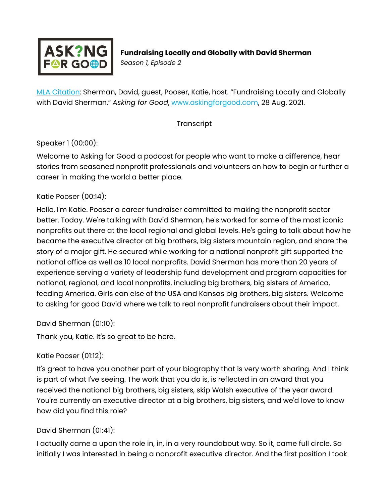

[MLA Citation:](https://style.mla.org/how-do-i-cite-a-podcast-episode/) Sherman, David, guest, Pooser, Katie, host. "Fundraising Locally and Globally with David Sherman." *Asking for Good*, [www.askingforgood.com,](http://www.askingforgood.com/) 28 Aug. 2021.

### **Transcript**

### Speaker 1 (00:00):

Welcome to Asking for Good a podcast for people who want to make a difference, hear stories from seasoned nonprofit professionals and volunteers on how to begin or further a career in making the world a better place.

#### Katie Pooser (00:14):

Hello, I'm Katie. Pooser a career fundraiser committed to making the nonprofit sector better. Today. We're talking with David Sherman, he's worked for some of the most iconic nonprofits out there at the local regional and global levels. He's going to talk about how he became the executive director at big brothers, big sisters mountain region, and share the story of a major gift. He secured while working for a national nonprofit gift supported the national office as well as 10 local nonprofits. David Sherman has more than 20 years of experience serving a variety of leadership fund development and program capacities for national, regional, and local nonprofits, including big brothers, big sisters of America, feeding America. Girls can else of the USA and Kansas big brothers, big sisters. Welcome to asking for good David where we talk to real nonprofit fundraisers about their impact.

David Sherman (01:10):

Thank you, Katie. It's so great to be here.

### Katie Pooser (01:12):

It's great to have you another part of your biography that is very worth sharing. And I think is part of what I've seeing. The work that you do is, is reflected in an award that you received the national big brothers, big sisters, skip Walsh executive of the year award. You're currently an executive director at a big brothers, big sisters, and we'd love to know how did you find this role?

### David Sherman (01:41):

I actually came a upon the role in, in, in a very roundabout way. So it, came full circle. So initially I was interested in being a nonprofit executive director. And the first position I took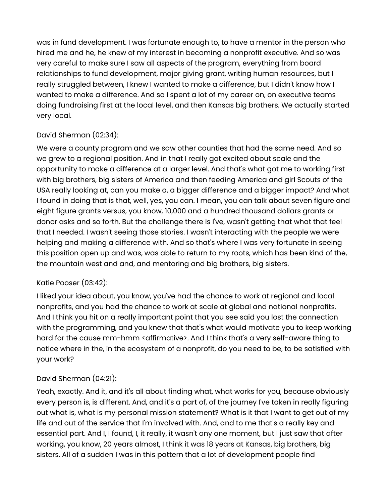was in fund development. I was fortunate enough to, to have a mentor in the person who hired me and he, he knew of my interest in becoming a nonprofit executive. And so was very careful to make sure I saw all aspects of the program, everything from board relationships to fund development, major giving grant, writing human resources, but I really struggled between, I knew I wanted to make a difference, but I didn't know how I wanted to make a difference. And so I spent a lot of my career on, on executive teams doing fundraising first at the local level, and then Kansas big brothers. We actually started very local.

## David Sherman (02:34):

We were a county program and we saw other counties that had the same need. And so we grew to a regional position. And in that I really got excited about scale and the opportunity to make a difference at a larger level. And that's what got me to working first with big brothers, big sisters of America and then feeding America and girl Scouts of the USA really looking at, can you make a, a bigger difference and a bigger impact? And what I found in doing that is that, well, yes, you can. I mean, you can talk about seven figure and eight figure grants versus, you know, 10,000 and a hundred thousand dollars grants or donor asks and so forth. But the challenge there is I've, wasn't getting that what that feel that I needed. I wasn't seeing those stories. I wasn't interacting with the people we were helping and making a difference with. And so that's where I was very fortunate in seeing this position open up and was, was able to return to my roots, which has been kind of the, the mountain west and and, and mentoring and big brothers, big sisters.

### Katie Pooser (03:42):

I liked your idea about, you know, you've had the chance to work at regional and local nonprofits, and you had the chance to work at scale at global and national nonprofits. And I think you hit on a really important point that you see said you lost the connection with the programming, and you knew that that's what would motivate you to keep working hard for the cause mm-hmm < affirmative>. And I think that's a very self-aware thing to notice where in the, in the ecosystem of a nonprofit, do you need to be, to be satisfied with your work?

### David Sherman (04:21):

Yeah, exactly. And it, and it's all about finding what, what works for you, because obviously every person is, is different. And, and it's a part of, of the journey I've taken in really figuring out what is, what is my personal mission statement? What is it that I want to get out of my life and out of the service that I'm involved with. And, and to me that's a really key and essential part. And I, I found, I, it really, it wasn't any one moment, but I just saw that after working, you know, 20 years almost, I think it was 18 years at Kansas, big brothers, big sisters. All of a sudden I was in this pattern that a lot of development people find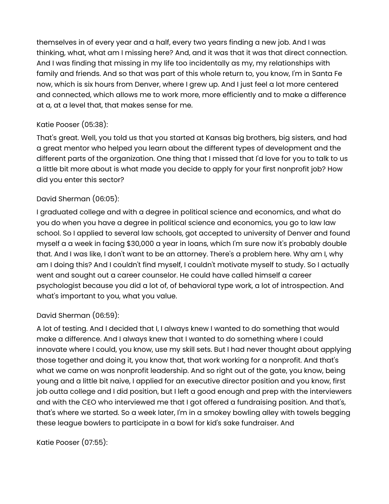themselves in of every year and a half, every two years finding a new job. And I was thinking, what, what am I missing here? And, and it was that it was that direct connection. And I was finding that missing in my life too incidentally as my, my relationships with family and friends. And so that was part of this whole return to, you know, I'm in Santa Fe now, which is six hours from Denver, where I grew up. And I just feel a lot more centered and connected, which allows me to work more, more efficiently and to make a difference at a, at a level that, that makes sense for me.

### Katie Pooser (05:38):

That's great. Well, you told us that you started at Kansas big brothers, big sisters, and had a great mentor who helped you learn about the different types of development and the different parts of the organization. One thing that I missed that I'd love for you to talk to us a little bit more about is what made you decide to apply for your first nonprofit job? How did you enter this sector?

#### David Sherman (06:05):

I graduated college and with a degree in political science and economics, and what do you do when you have a degree in political science and economics, you go to law law school. So I applied to several law schools, got accepted to university of Denver and found myself a a week in facing \$30,000 a year in loans, which I'm sure now it's probably double that. And I was like, I don't want to be an attorney. There's a problem here. Why am I, why am I doing this? And I couldn't find myself, I couldn't motivate myself to study. So I actually went and sought out a career counselor. He could have called himself a career psychologist because you did a lot of, of behavioral type work, a lot of introspection. And what's important to you, what you value.

### David Sherman (06:59):

A lot of testing. And I decided that I, I always knew I wanted to do something that would make a difference. And I always knew that I wanted to do something where I could innovate where I could, you know, use my skill sets. But I had never thought about applying those together and doing it, you know that, that work working for a nonprofit. And that's what we came on was nonprofit leadership. And so right out of the gate, you know, being young and a little bit naive, I applied for an executive director position and you know, first job outta college and I did position, but I left a good enough and prep with the interviewers and with the CEO who interviewed me that I got offered a fundraising position. And that's, that's where we started. So a week later, I'm in a smokey bowling alley with towels begging these league bowlers to participate in a bowl for kid's sake fundraiser. And

Katie Pooser (07:55):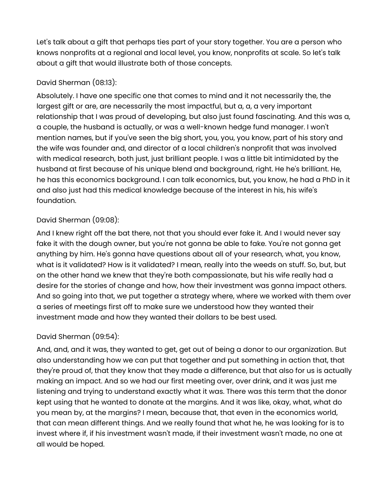Let's talk about a gift that perhaps ties part of your story together. You are a person who knows nonprofits at a regional and local level, you know, nonprofits at scale. So let's talk about a gift that would illustrate both of those concepts.

### David Sherman (08:13):

Absolutely. I have one specific one that comes to mind and it not necessarily the, the largest gift or are, are necessarily the most impactful, but a, a, a very important relationship that I was proud of developing, but also just found fascinating. And this was a, a couple, the husband is actually, or was a well-known hedge fund manager. I won't mention names, but if you've seen the big short, you, you, you know, part of his story and the wife was founder and, and director of a local children's nonprofit that was involved with medical research, both just, just brilliant people. I was a little bit intimidated by the husband at first because of his unique blend and background, right. He he's brilliant. He, he has this economics background. I can talk economics, but, you know, he had a PhD in it and also just had this medical knowledge because of the interest in his, his wife's foundation.

# David Sherman (09:08):

And I knew right off the bat there, not that you should ever fake it. And I would never say fake it with the dough owner, but you're not gonna be able to fake. You're not gonna get anything by him. He's gonna have questions about all of your research, what, you know, what is it validated? How is it validated? I mean, really into the weeds on stuff. So, but, but on the other hand we knew that they're both compassionate, but his wife really had a desire for the stories of change and how, how their investment was gonna impact others. And so going into that, we put together a strategy where, where we worked with them over a series of meetings first off to make sure we understood how they wanted their investment made and how they wanted their dollars to be best used.

# David Sherman (09:54):

And, and, and it was, they wanted to get, get out of being a donor to our organization. But also understanding how we can put that together and put something in action that, that they're proud of, that they know that they made a difference, but that also for us is actually making an impact. And so we had our first meeting over, over drink, and it was just me listening and trying to understand exactly what it was. There was this term that the donor kept using that he wanted to donate at the margins. And it was like, okay, what, what do you mean by, at the margins? I mean, because that, that even in the economics world, that can mean different things. And we really found that what he, he was looking for is to invest where if, if his investment wasn't made, if their investment wasn't made, no one at all would be hoped.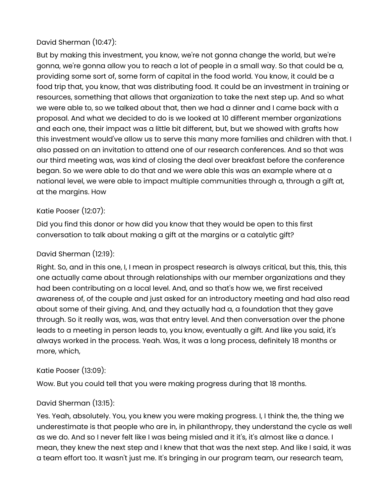## David Sherman (10:47):

But by making this investment, you know, we're not gonna change the world, but we're gonna, we're gonna allow you to reach a lot of people in a small way. So that could be a, providing some sort of, some form of capital in the food world. You know, it could be a food trip that, you know, that was distributing food. It could be an investment in training or resources, something that allows that organization to take the next step up. And so what we were able to, so we talked about that, then we had a dinner and I came back with a proposal. And what we decided to do is we looked at 10 different member organizations and each one, their impact was a little bit different, but, but we showed with grafts how this investment would've allow us to serve this many more families and children with that. I also passed on an invitation to attend one of our research conferences. And so that was our third meeting was, was kind of closing the deal over breakfast before the conference began. So we were able to do that and we were able this was an example where at a national level, we were able to impact multiple communities through a, through a gift at, at the margins. How

### Katie Pooser (12:07):

Did you find this donor or how did you know that they would be open to this first conversation to talk about making a gift at the margins or a catalytic gift?

#### David Sherman (12:19):

Right. So, and in this one, I, I mean in prospect research is always critical, but this, this, this one actually came about through relationships with our member organizations and they had been contributing on a local level. And, and so that's how we, we first received awareness of, of the couple and just asked for an introductory meeting and had also read about some of their giving. And, and they actually had a, a foundation that they gave through. So it really was, was, was that entry level. And then conversation over the phone leads to a meeting in person leads to, you know, eventually a gift. And like you said, it's always worked in the process. Yeah. Was, it was a long process, definitely 18 months or more, which,

#### Katie Pooser (13:09):

Wow. But you could tell that you were making progress during that 18 months.

### David Sherman (13:15):

Yes. Yeah, absolutely. You, you knew you were making progress. I, I think the, the thing we underestimate is that people who are in, in philanthropy, they understand the cycle as well as we do. And so I never felt like I was being misled and it it's, it's almost like a dance. I mean, they knew the next step and I knew that that was the next step. And like I said, it was a team effort too. It wasn't just me. It's bringing in our program team, our research team,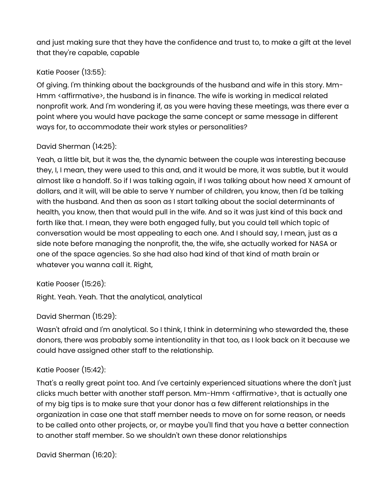and just making sure that they have the confidence and trust to, to make a gift at the level that they're capable, capable

# Katie Pooser (13:55):

Of giving. I'm thinking about the backgrounds of the husband and wife in this story. Mm-Hmm < affirmative>, the husband is in finance. The wife is working in medical related nonprofit work. And I'm wondering if, as you were having these meetings, was there ever a point where you would have package the same concept or same message in different ways for, to accommodate their work styles or personalities?

## David Sherman (14:25):

Yeah, a little bit, but it was the, the dynamic between the couple was interesting because they, I, I mean, they were used to this and, and it would be more, it was subtle, but it would almost like a handoff. So if I was talking again, if I was talking about how need X amount of dollars, and it will, will be able to serve Y number of children, you know, then I'd be talking with the husband. And then as soon as I start talking about the social determinants of health, you know, then that would pull in the wife. And so it was just kind of this back and forth like that. I mean, they were both engaged fully, but you could tell which topic of conversation would be most appealing to each one. And I should say, I mean, just as a side note before managing the nonprofit, the, the wife, she actually worked for NASA or one of the space agencies. So she had also had kind of that kind of math brain or whatever you wanna call it. Right,

### Katie Pooser (15:26):

Right. Yeah. Yeah. That the analytical, analytical

### David Sherman (15:29):

Wasn't afraid and I'm analytical. So I think, I think in determining who stewarded the, these donors, there was probably some intentionality in that too, as I look back on it because we could have assigned other staff to the relationship.

### Katie Pooser (15:42):

That's a really great point too. And I've certainly experienced situations where the don't just clicks much better with another staff person. Mm-Hmm < affirmative>, that is actually one of my big tips is to make sure that your donor has a few different relationships in the organization in case one that staff member needs to move on for some reason, or needs to be called onto other projects, or, or maybe you'll find that you have a better connection to another staff member. So we shouldn't own these donor relationships

### David Sherman (16:20):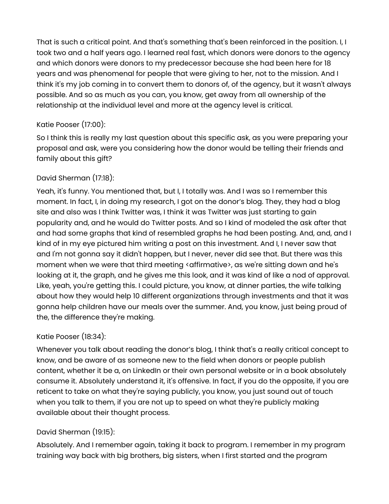That is such a critical point. And that's something that's been reinforced in the position. I, I took two and a half years ago. I learned real fast, which donors were donors to the agency and which donors were donors to my predecessor because she had been here for 18 years and was phenomenal for people that were giving to her, not to the mission. And I think it's my job coming in to convert them to donors of, of the agency, but it wasn't always possible. And so as much as you can, you know, get away from all ownership of the relationship at the individual level and more at the agency level is critical.

## Katie Pooser (17:00):

So I think this is really my last question about this specific ask, as you were preparing your proposal and ask, were you considering how the donor would be telling their friends and family about this gift?

# David Sherman (17:18):

Yeah, it's funny. You mentioned that, but I, I totally was. And I was so I remember this moment. In fact, I, in doing my research, I got on the donor's blog. They, they had a blog site and also was I think Twitter was, I think it was Twitter was just starting to gain popularity and, and he would do Twitter posts. And so I kind of modeled the ask after that and had some graphs that kind of resembled graphs he had been posting. And, and, and I kind of in my eye pictured him writing a post on this investment. And I, I never saw that and I'm not gonna say it didn't happen, but I never, never did see that. But there was this moment when we were that third meeting < affirmative>, as we're sitting down and he's looking at it, the graph, and he gives me this look, and it was kind of like a nod of approval. Like, yeah, you're getting this. I could picture, you know, at dinner parties, the wife talking about how they would help 10 different organizations through investments and that it was gonna help children have our meals over the summer. And, you know, just being proud of the, the difference they're making.

# Katie Pooser (18:34):

Whenever you talk about reading the donor's blog, I think that's a really critical concept to know, and be aware of as someone new to the field when donors or people publish content, whether it be a, on LinkedIn or their own personal website or in a book absolutely consume it. Absolutely understand it, it's offensive. In fact, if you do the opposite, if you are reticent to take on what they're saying publicly, you know, you just sound out of touch when you talk to them, if you are not up to speed on what they're publicly making available about their thought process.

# David Sherman (19:15):

Absolutely. And I remember again, taking it back to program. I remember in my program training way back with big brothers, big sisters, when I first started and the program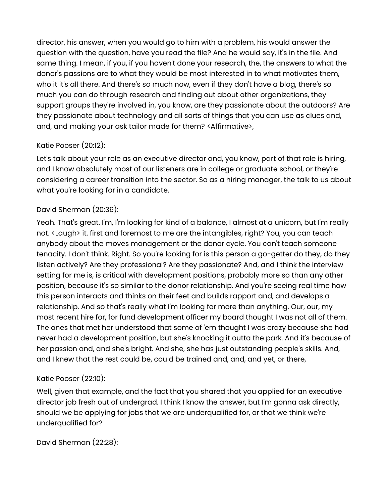director, his answer, when you would go to him with a problem, his would answer the question with the question, have you read the file? And he would say, it's in the file. And same thing. I mean, if you, if you haven't done your research, the, the answers to what the donor's passions are to what they would be most interested in to what motivates them, who it it's all there. And there's so much now, even if they don't have a blog, there's so much you can do through research and finding out about other organizations, they support groups they're involved in, you know, are they passionate about the outdoors? Are they passionate about technology and all sorts of things that you can use as clues and, and, and making your ask tailor made for them? <Affirmative>,

## Katie Pooser (20:12):

Let's talk about your role as an executive director and, you know, part of that role is hiring, and I know absolutely most of our listeners are in college or graduate school, or they're considering a career transition into the sector. So as a hiring manager, the talk to us about what you're looking for in a candidate.

## David Sherman (20:36):

Yeah. That's great. I'm, I'm looking for kind of a balance, I almost at a unicorn, but I'm really not. <Laugh> it. first and foremost to me are the intangibles, right? You, you can teach anybody about the moves management or the donor cycle. You can't teach someone tenacity. I don't think. Right. So you're looking for is this person a go-getter do they, do they listen actively? Are they professional? Are they passionate? And, and I think the interview setting for me is, is critical with development positions, probably more so than any other position, because it's so similar to the donor relationship. And you're seeing real time how this person interacts and thinks on their feet and builds rapport and, and develops a relationship. And so that's really what I'm looking for more than anything. Our, our, my most recent hire for, for fund development officer my board thought I was not all of them. The ones that met her understood that some of 'em thought I was crazy because she had never had a development position, but she's knocking it outta the park. And it's because of her passion and, and she's bright. And she, she has just outstanding people's skills. And, and I knew that the rest could be, could be trained and, and, and yet, or there,

### Katie Pooser (22:10):

Well, given that example, and the fact that you shared that you applied for an executive director job fresh out of undergrad. I think I know the answer, but I'm gonna ask directly, should we be applying for jobs that we are underqualified for, or that we think we're underqualified for?

David Sherman (22:28):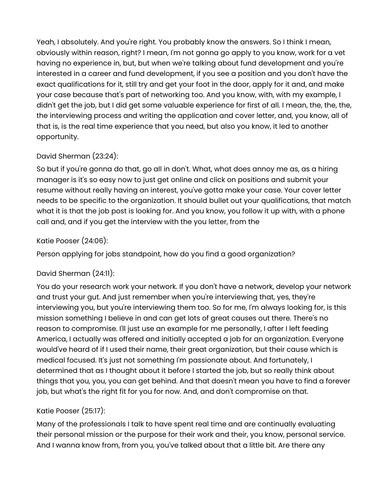Yeah, I absolutely. And you're right. You probably know the answers. So I think I mean, obviously within reason, right? I mean, I'm not gonna go apply to you know, work for a vet having no experience in, but, but when we're talking about fund development and you're interested in a career and fund development, if you see a position and you don't have the exact qualifications for it, still try and get your foot in the door, apply for it and, and make your case because that's part of networking too. And you know, with, with my example, I didn't get the job, but I did get some valuable experience for first of all. I mean, the, the, the, the interviewing process and writing the application and cover letter, and, you know, all of that is, is the real time experience that you need, but also you know, it led to another opportunity.

# David Sherman (23:24):

So but if you're gonna do that, go all in don't. What, what does annoy me as, as a hiring manager is it's so easy now to just get online and click on positions and submit your resume without really having an interest, you've gotta make your case. Your cover letter needs to be specific to the organization. It should bullet out your qualifications, that match what it is that the job post is looking for. And you know, you follow it up with, with a phone call and, and if you get the interview with the you letter, from the

# Katie Pooser (24:06):

Person applying for jobs standpoint, how do you find a good organization?

# David Sherman (24:11):

You do your research work your network. If you don't have a network, develop your network and trust your gut. And just remember when you're interviewing that, yes, they're interviewing you, but you're interviewing them too. So for me, I'm always looking for, is this mission something I believe in and can get lots of great causes out there. There's no reason to compromise. I'll just use an example for me personally, I after I left feeding America, I actually was offered and initially accepted a job for an organization. Everyone would've heard of if I used their name, their great organization, but their cause which is medical focused. It's just not something I'm passionate about. And fortunately, I determined that as I thought about it before I started the job, but so really think about things that you, you, you can get behind. And that doesn't mean you have to find a forever job, but what's the right fit for you for now. And, and don't compromise on that.

# Katie Pooser (25:17):

Many of the professionals I talk to have spent real time and are continually evaluating their personal mission or the purpose for their work and their, you know, personal service. And I wanna know from, from you, you've talked about that a little bit. Are there any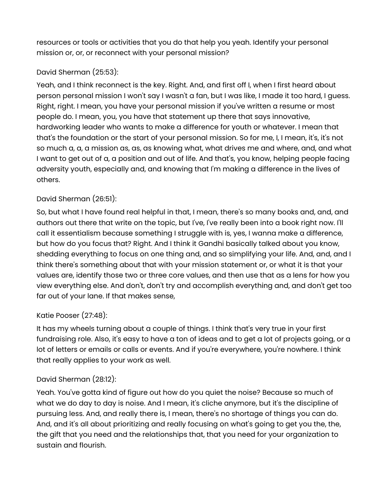resources or tools or activities that you do that help you yeah. Identify your personal mission or, or, or reconnect with your personal mission?

# David Sherman (25:53):

Yeah, and I think reconnect is the key. Right. And, and first off I, when I first heard about person personal mission I won't say I wasn't a fan, but I was like, I made it too hard, I guess. Right, right. I mean, you have your personal mission if you've written a resume or most people do. I mean, you, you have that statement up there that says innovative, hardworking leader who wants to make a difference for youth or whatever. I mean that that's the foundation or the start of your personal mission. So for me, I, I mean, it's, it's not so much a, a, a mission as, as, as knowing what, what drives me and where, and, and what I want to get out of a, a position and out of life. And that's, you know, helping people facing adversity youth, especially and, and knowing that I'm making a difference in the lives of others.

# David Sherman (26:51):

So, but what I have found real helpful in that, I mean, there's so many books and, and, and authors out there that write on the topic, but I've, I've really been into a book right now. I'll call it essentialism because something I struggle with is, yes, I wanna make a difference, but how do you focus that? Right. And I think it Gandhi basically talked about you know, shedding everything to focus on one thing and, and so simplifying your life. And, and, and I think there's something about that with your mission statement or, or what it is that your values are, identify those two or three core values, and then use that as a lens for how you view everything else. And don't, don't try and accomplish everything and, and don't get too far out of your lane. If that makes sense,

# Katie Pooser (27:48):

It has my wheels turning about a couple of things. I think that's very true in your first fundraising role. Also, it's easy to have a ton of ideas and to get a lot of projects going, or a lot of letters or emails or calls or events. And if you're everywhere, you're nowhere. I think that really applies to your work as well.

### David Sherman (28:12):

Yeah. You've gotta kind of figure out how do you quiet the noise? Because so much of what we do day to day is noise. And I mean, it's cliche anymore, but it's the discipline of pursuing less. And, and really there is, I mean, there's no shortage of things you can do. And, and it's all about prioritizing and really focusing on what's going to get you the, the, the gift that you need and the relationships that, that you need for your organization to sustain and flourish.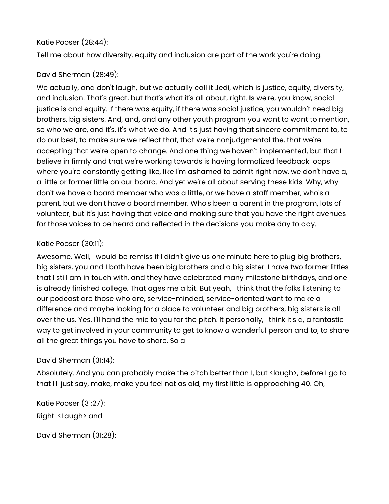### Katie Pooser (28:44):

Tell me about how diversity, equity and inclusion are part of the work you're doing.

## David Sherman (28:49):

We actually, and don't laugh, but we actually call it Jedi, which is justice, equity, diversity, and inclusion. That's great, but that's what it's all about, right. Is we're, you know, social justice is and equity. If there was equity, if there was social justice, you wouldn't need big brothers, big sisters. And, and, and any other youth program you want to want to mention, so who we are, and it's, it's what we do. And it's just having that sincere commitment to, to do our best, to make sure we reflect that, that we're nonjudgmental the, that we're accepting that we're open to change. And one thing we haven't implemented, but that I believe in firmly and that we're working towards is having formalized feedback loops where you're constantly getting like, like I'm ashamed to admit right now, we don't have a, a little or former little on our board. And yet we're all about serving these kids. Why, why don't we have a board member who was a little, or we have a staff member, who's a parent, but we don't have a board member. Who's been a parent in the program, lots of volunteer, but it's just having that voice and making sure that you have the right avenues for those voices to be heard and reflected in the decisions you make day to day.

### Katie Pooser (30:11):

Awesome. Well, I would be remiss if I didn't give us one minute here to plug big brothers, big sisters, you and I both have been big brothers and a big sister. I have two former littles that I still am in touch with, and they have celebrated many milestone birthdays, and one is already finished college. That ages me a bit. But yeah, I think that the folks listening to our podcast are those who are, service-minded, service-oriented want to make a difference and maybe looking for a place to volunteer and big brothers, big sisters is all over the us. Yes. I'll hand the mic to you for the pitch. It personally, I think it's a, a fantastic way to get involved in your community to get to know a wonderful person and to, to share all the great things you have to share. So a

### David Sherman (31:14):

Absolutely. And you can probably make the pitch better than I, but <laugh>, before I go to that I'll just say, make, make you feel not as old, my first little is approaching 40. Oh,

Katie Pooser (31:27): Right. <Laugh> and

David Sherman (31:28):